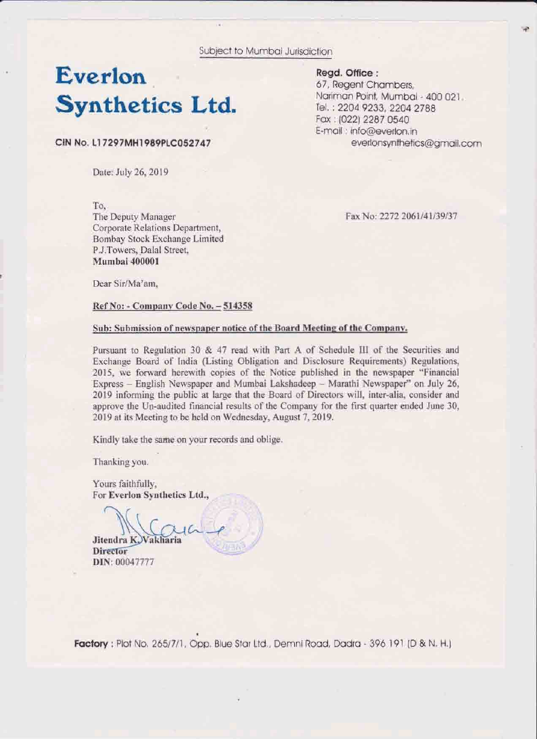Subject to Mumbai *Jurisdiction* 

## **Everlon, Synthetics Ltd.**

**CLN No. 11 7297MH1989PlC0627 47** 

**Date: July 26,20 19** 

**T%** 

**The Deputy Manager Corporate Relations Department, Bombay Stock Exchange** Limited **P.J.Towers, Dalal Street, Mumbai 400001** 

Fax No: 2272 2061/41/39/37

everlonsynthetics@gmail.com

**~ari~n** Writ, **Mumbai** - **400 021.** 

**Tel,** : **2204 9233,2204 2788**  Fox : **10223 2287 0540**   $E$ -mail : *info@everlon.in* 

67, Regent Chambers.

Read. Office:

Dear Sir/Ma'am.

**RefNo:** - **Cornmy Code Na** - **9143%** 

## $Sub:$  Submission of newspaper notice of the Board Meeting of the Company.

**firwant to Regulation 30** & **47** Fead **with Part A of Schedule UI of €he Securities and**  Exchange Board of India (Listing Obligation and Disclosure Requirements) Regulations, **2015, we forward** herewith **copies of the Notice published in the newspaper Tinancid**   $Express - English Newspaper and Mumbai Lakshadeep - Marathi Newspaper" on July 26,$ **2019 informing the public at large that the Board of Directors will, inter-alia, consider and** approve the Un-audited financial results of the Company for the first quarter ended June 30, **2019 at its Meeting to be heId on Wednesday, August 7,2919.** 

Kindly take the same on your records and oblige.

**Thanking you.** 

**Yours faithfully, For Everloa Synthetics Ltd,** \_

Jitendra K. **Director** DIN: 00047777

Factory : **Plot No. 2651711,** Opp. **Blue Star Itdo,** Dernni **Road, Wra** - **396 191 (0 b N. H.]**